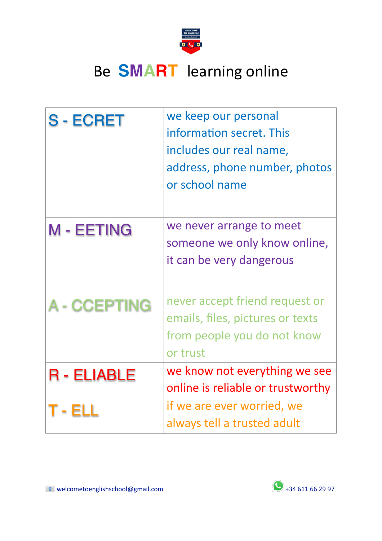

# Be **SMART** learning online

| <b>S-ECRET</b>      | we keep our personal<br>information secret. This<br>includes our real name,<br>address, phone number, photos<br>or school name |
|---------------------|--------------------------------------------------------------------------------------------------------------------------------|
| <b>M-EETING</b>     | we never arrange to meet<br>someone we only know online,<br>it can be very dangerous                                           |
| <b>A - CCEPTING</b> | never accept friend request or<br>emails, files, pictures or texts<br>from people you do not know<br>or trust                  |
| <b>R</b> - ELIABLE  | we know not everything we see<br>online is reliable or trustworthy                                                             |
|                     | if we are ever worried, we<br>always tell a trusted adult                                                                      |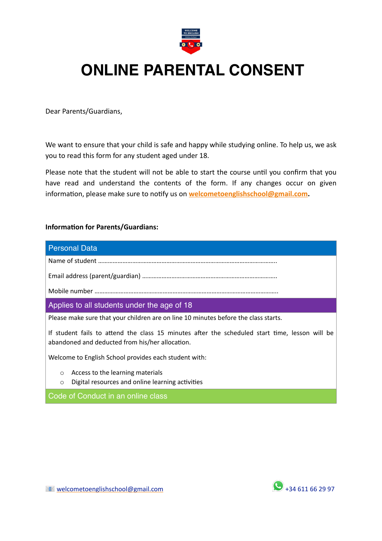

## **ONLINE PARENTAL CONSENT**

Dear Parents/Guardians,

We want to ensure that your child is safe and happy while studying online. To help us, we ask you to read this form for any student aged under 18.

Please note that the student will not be able to start the course until you confirm that you have read and understand the contents of the form. If any changes occur on given information, please make sure to notify us on **[welcometoenglishschool@gmail.com](mailto:welcometoenglishschool@gmail.com).**

### **Information for Parents/Guardians:**

## Personal Data Name of student ……………………………………………………………………………………………….. Email address (parent/guardian) ……………………………………………………………………….. Mobile number ………………………………………………………………………………………………….. Applies to all students under the age of 18 Please make sure that your children are on line 10 minutes before the class starts. If student fails to attend the class 15 minutes after the scheduled start time, lesson will be abandoned and deducted from his/her allocation. Welcome to English School provides each student with:

- o Access to the learning materials
- o Digital resources and online learning activities

Code of Conduct in an online class

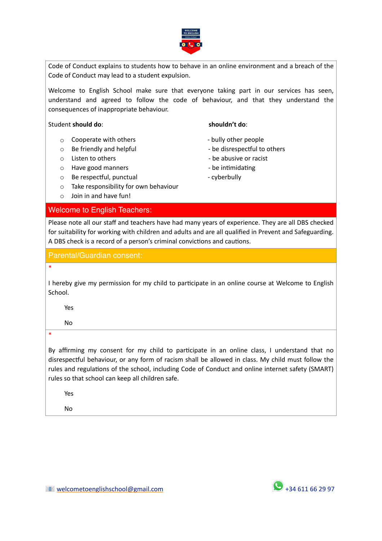

Code of Conduct explains to students how to behave in an online environment and a breach of the Code of Conduct may lead to a student expulsion.

Welcome to English School make sure that everyone taking part in our services has seen, understand and agreed to follow the code of behaviour, and that they understand the consequences of inappropriate behaviour.

#### Student **should do**: **shouldn't do**:

- o Cooperate with others  $\overline{\phantom{a}}$  bully other people
- o Be friendly and helpful **business** be disrespectful to others
- 
- $\circ$  Have good manners  $\circ$   $\bullet$  be intimidating
- o Be respectful, punctual example and the cyberbully
- o Take responsibility for own behaviour
- o Join in and have fun!

### Welcome to English Teachers:

### Please note all our staff and teachers have had many years of experience. They are all DBS checked for suitability for working with children and adults and are all qualified in Prevent and Safeguarding. A DBS check is a record of a person's criminal convictions and cautions.

### Parental/Guardian consent:

### \*

I hereby give my permission for my child to participate in an online course at Welcome to English School.

Yes

No

\*

By affirming my consent for my child to participate in an online class, I understand that no disrespectful behaviour, or any form of racism shall be allowed in class. My child must follow the rules and regulations of the school, including Code of Conduct and online internet safety (SMART) rules so that school can keep all children safe.

Yes

No

- 
- 
- o Listen to others  $\overline{\phantom{a}}$  be abusive or racist
	-
	-